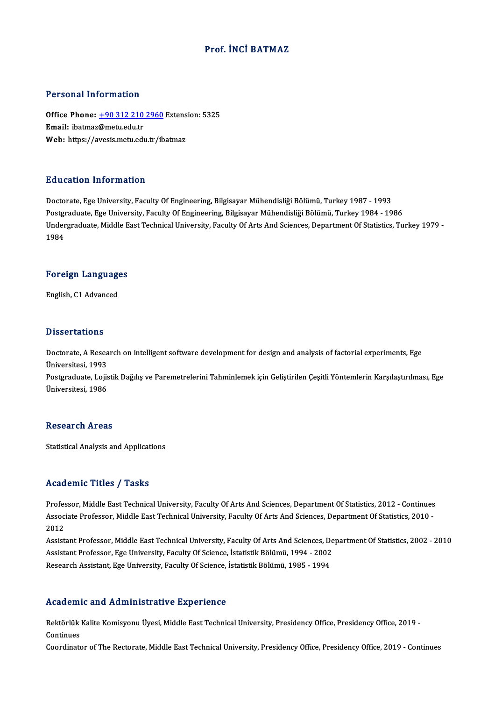### Prof. İNCİ BATMAZ

### Personal Information

Personal Information<br>Office Phone: <u>+90 312 210 2960</u> Extension: 5325<br>Email: ibatmag@metu.edu.tr office Phone: <u>+90 312 210</u><br>Email: ibatmaz@metu.edu.tr<br>Web: https://avesis.metu.edu Office Phone: <u>+90 312 210 2960</u> Extens<br>Email: ibatmaz@metu.edu.tr<br>Web: https://a[vesis.metu.edu.tr/ib](tel:+90 312 210 2960)atmaz Web: https://avesis.metu.edu.tr/ibatmaz<br>Education Information

Doctorate, Ege University, Faculty Of Engineering, Bilgisayar Mühendisliği Bölümü, Turkey 1987 - 1993 Pu u sutrom minor intutrom<br>Doctorate, Ege University, Faculty Of Engineering, Bilgisayar Mühendisliği Bölümü, Turkey 1987 - 1993<br>Postgraduate, Ege University, Faculty Of Engineering, Bilgisayar Mühendisliği Bölümü, Turkey Undergraduate, Middle East Technical University, Faculty Of Arts And Sciences, Department Of Statistics, Turkey 1979 -<br>1984 Postgi<br>Under<br>1984

# 1<sup>984</sup><br>Foreign Languages F<mark>oreign Languag</mark>e<br>English, C1 Advanced

English, C1 Advanced<br>Dissertations

Dissertations<br>Doctorate, A Research on intelligent software development for design and analysis of factorial experiments, Ege<br>Universitesi, 1993 Discolations<br>Doctorate, A Resea<br>Üniversitesi, 1993<br>Postaraduate, Leija Doctorate, A Research on intelligent software development for design and analysis of factorial experiments, Ege<br>Üniversitesi, 1993<br>Postgraduate, Lojistik Dağılış ve Paremetrelerini Tahminlemek için Geliştirilen Çeşitli Yön

Üniversitesi, 1993<br>Postgraduate, Lojis<br>Üniversitesi, 1986 Üniversitesi, 1986<br>Research Areas

Statistical Analysis and Applications

### Academic Titles / Tasks

Academic Titles / Tasks<br>Professor, Middle East Technical University, Faculty Of Arts And Sciences, Department Of Statistics, 2012 - Continues<br>Associate Professor, Middle Fast Technical University, Faculty Of Arts And Scien AssociateMice Profes / Profes<br>Professor, Middle East Technical University, Faculty Of Arts And Sciences, Department Of Statistics, 2012 - Continues<br>Associate Professor, Middle East Technical University, Faculty Of Arts And Profes<br>Assoc<br>2012 Associate Professor, Middle East Technical University, Faculty Of Arts And Sciences, Department Of Statistics, 2010 -<br>2012<br>Assistant Professor, Middle East Technical University, Faculty Of Arts And Sciences, Department Of

2012<br>Assistant Professor, Middle East Technical University, Faculty Of Arts And Sciences, De<br>Assistant Professor, Ege University, Faculty Of Science, İstatistik Bölümü, 1994 - 2002<br>Besearsh Assistant, Ege University, Facul Assistant Professor, Middle East Technical University, Faculty Of Arts And Sciences, D<br>Assistant Professor, Ege University, Faculty Of Science, İstatistik Bölümü, 1994 - 2002<br>Research Assistant, Ege University, Faculty Of Research Assistant, Ege University, Faculty Of Science, İstatistik Bölümü, 1985 - 1994<br>Academic and Administrative Experience

Academic and Administrative Experience<br>Rektörlük Kalite Komisyonu Üyesi, Middle East Technical University, Presidency Office, Presidency Office, 2019<br>Centinues rication:<br>Rektörlük<br>Continues Rektörlük Kalite Komisyonu Üyesi, Middle East Technical University, Presidency Office, Presidency Office, 2019<br>Continues<br>Coordinator of The Rectorate, Middle East Technical University, Presidency Office, Presidency Office,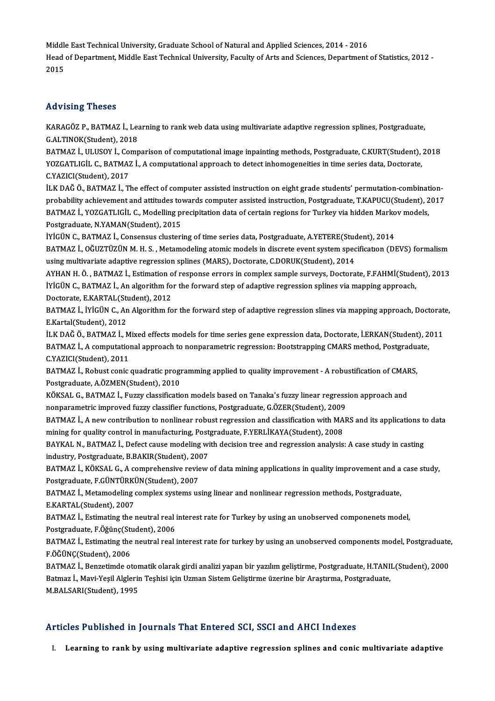Middle East Technical University, Graduate School of Natural and Applied Sciences, 2014 - 2016<br>Head of Depertment, Middle Fest Technical University, Feculty of Arts and Sciences, 2014 - 2016 Head of Department, Middle East Technical University, Faculty of Arts and Sciences, Department of Statistics, 2012 -<br>2015 Middle<br>Head<br>2015

### Advising Theses

Advising Theses<br>KARAGÖZ P., BATMAZ İ., Learning to rank web data using multivariate adaptive regression splines, Postgraduate,<br>G.ALTINOK(Student), 2018 TRAVISHIS THOSOS<br>KARAGÖZ P., BATMAZ İ., Lea<br>G.ALTINOK(Student), 2018<br>BATMAZ İ. HI HSOV İ. Comp KARAGÖZ P., BATMAZ İ., Learning to rank web data using multivariate adaptive regression splines, Postgraduate,<br>G.ALTINOK(Student), 2018<br>BATMAZ İ., ULUSOY İ., Comparison of computational image inpainting methods, Postgradua

G.ALTINOK(Student), 2018<br>BATMAZ İ., ULUSOY İ., Comparison of computational image inpainting methods, Postgraduate, C.KURT(Student), 2018<br>YOZGATLIGİL C., BATMAZ İ., A computational approach to detect inhomogeneities in time C.YAZICI(Student),2017

İLKDAĞÖ.,BATMAZ İ.,The ef ectof computer assisted instructiononeightgrade students' permutation-combination-C.YAZICI(Student), 2017<br>İLK DAĞ Ö., BATMAZ İ., The effect of computer assisted instruction on eight grade students' permutation-combination-<br>probability achievement and attitudes towards computer assisted instruction, Post İLK DAĞ Ö., BATMAZ İ., The effect of computer assisted instruction on eight grade students' permutation-combinat<br>probability achievement and attitudes towards computer assisted instruction, Postgraduate, T.KAPUCU(Student), probability achievement and attitudes to<br>BATMAZ İ., YOZGATLIGİL C., Modelling pr<br>Postgraduate, N.YAMAN(Student), 2015<br>İVİCÜN C. BATMAZ İ. Gonsensus slugtari BATMAZ İ., YOZGATLIGİL C., Modelling precipitation data of certain regions for Turkey via hidden Markov models,<br>Postgraduate, N.YAMAN(Student), 2015<br>İYİGÜN C., BATMAZ İ., Consensus clustering of time series data, Postgradu

Postgraduate, N.YAMAN(Student), 2015<br>İYİGÜN C., BATMAZ İ., Consensus clustering of time series data, Postgraduate, A.YETERE(Student), 2014<br>BATMAZ İ., OĞUZTÜZÜN M. H. S. , Metamodeling atomic models in discrete event system IYIGÜN C., BATMAZ İ., Consensus clustering of time series data, Postgraduate, A.YETERE(Student)<br>BATMAZ İ., OĞUZTÜZÜN M. H. S. , Metamodeling atomic models in discrete event system spec<br>using multivariate adaptive regressio BATMAZ İ., OĞUZTÜZÜN M. H. S. , Metamodeling atomic models in discrete event system specification (DEVS) formalism<br>using multivariate adaptive regression splines (MARS), Doctorate, C.DORUK(Student), 2014<br>AYHAN H. Ö. , BATM

using multivariate adaptive regression splines (MARS), Doctorate, C.DORUK(Student), 2014<br>AYHAN H. Ö. , BATMAZ İ., Estimation of response errors in complex sample surveys, Doctorate, F.FAHMİ(Stude<br>İYİGÜN C., BATMAZ İ., An a AYHAN H. Ö. , BATMAZ İ., Estimation o<br>İYİGÜN C., BATMAZ İ., An algorithm fo<br>Doctorate, E.KARTAL(Student), 2012<br>BATMAZ İ. İYİÇÜN G. An Algorithm fo IYIGÜN C., BATMAZ İ., An algorithm for the forward step of adaptive regression splines via mapping approach,<br>Doctorate, E.KARTAL(Student), 2012<br>BATMAZ İ., İYİGÜN C., An Algorithm for the forward step of adaptive regression

Doctorate, E.KARTAL(Student)<br>BATMAZ İ., İYİGÜN C., An<br>E.Kartal(Student), 2012<br>İLK DAČ Ö., BATMAZ İ. A BATMAZ İ., İYİGÜN C., An Algorithm for the forward step of adaptive regression slines via mapping approach, Doctorat<br>E.Kartal(Student), 2012<br>İLK DAĞ Ö., BATMAZ İ., Mixed effects models for time series gene expression data,

E.Kartal(Student), 2012<br>İLK DAĞ Ö., BATMAZ İ., Mixed effects models for time series gene expression data, Doctorate, İ.ERKAN(Student), 2<br>BATMAZ İ., A computational approach to nonparametric regression: Bootstrapping CMARS İLK DAĞ Ö., BATMAZ İ., M<br>BATMAZ İ., A computatio<br>C.YAZICI(Student), 2011<br>BATMAZ İ. Bobust sonis BATMAZ İ., A computational approach to nonparametric regression: Bootstrapping CMARS method, Postgraduate,<br>C.YAZICI(Student), 2011<br>BATMAZ İ., Robust conic quadratic programming applied to quality improvement - A robustific

Postgraduate,A.ÖZMEN(Student),2010 BATMAZ İ., Robust conic quadratic programming applied to quality improvement - A robustification of CMAF<br>Postgraduate, A.ÖZMEN(Student), 2010<br>KÖKSAL G., BATMAZ İ., Fuzzy classification models based on Tanaka's fuzzy linear

Postgraduate, A.ÖZMEN(Student), 2010<br>KÖKSAL G., BATMAZ İ., Fuzzy classification models based on Tanaka's fuzzy linear regress<br>nonparametric improved fuzzy classifier functions, Postgraduate, G.ÖZER(Student), 2009<br>BATMAZ İ. KÖKSAL G., BATMAZ İ., Fuzzy classification models based on Tanaka's fuzzy linear regression approach and<br>nonparametric improved fuzzy classifier functions, Postgraduate, G.ÖZER(Student), 2009<br>BATMAZ İ., A new contribution

nonparametric improved fuzzy classifier functions, Postgraduate, G.ÖZER(Student), 2009<br>BATMAZ İ., A new contribution to nonlinear robust regression and classification with MARS and its applications t<br>mining for quality con BATMAZ İ., A new contribution to nonlinear robust regression and classification with MARS and its applications to<br>mining for quality control in manufacturing, Postgraduate, F.YERLİKAYA(Student), 2008<br>BAYKAL N., BATMAZ İ., mining for quality control in manufacturing, Postgraduate, F.YERLİKAYA(Student), 2008

BAYKAL N., BATMAZ İ., Defect cause modeling with decision tree and regression analysis: A case study in casting<br>industry, Postgraduate, B.BAKIR(Student), 2007<br>BATMAZ İ., KÖKSAL G., A comprehensive review of data mining app

industry, Postgraduate, B.BAKIR(Student), 2007<br>BATMAZ İ., KÖKSAL G., A comprehensive review of data mining applications in quality improvement and a<br>Postgraduate, F.GÜNTÜRKÜN(Student), 2007<br>BATMAZ İ., Metamodeling complex BATMAZ İ., KÖKSAL G., A comprehensive review of data mining applications in quality improvement and a<br>Postgraduate, F.GÜNTÜRKÜN(Student), 2007<br>BATMAZ İ., Metamodeling complex systems using linear and nonlinear regression m

E.KARTAL(Student),2007 BATMAZ İ., Metamodeling complex systems using linear and nonlinear regression methods, Postgraduate,<br>E.KARTAL(Student), 2007<br>BATMAZ İ., Estimating the neutral real interest rate for Turkey by using an unobserved componenet

E.KARTAL(Student), 2007<br>BATMAZ İ., Estimating the neutral real i<br>Postgraduate, F.Öğünç(Student), 2006<br>PATMAZ İ. Estimating the neutral real i Postgraduate, F.Öğünç(Student), 2006

BATMAZ İ., Estimating the neutral real interest rate for turkey by using an unobserved components model, Postgraduate,<br>F.ÖĞÜNC(Student), 2006 BATMAZ İ., Estimating the neutral real interest rate for turkey by using an unobserved components model, Postgraduate<br>F.ÖĞÜNÇ(Student), 2006<br>BATMAZ İ., Benzetimde otomatik olarak girdi analizi yapan bir yazılım geliştirme,

F.ÖĞÜNÇ(Student), 2006<br>BATMAZ İ., Benzetimde otomatik olarak girdi analizi yapan bir yazılım geliştirme, Postgraduate, H.TANI!<br>Batmaz İ., Mavi-Yeşil Alglerin Teşhisi için Uzman Sistem Geliştirme üzerine bir Araştırma, Post BATMAZ İ., Benzetimde otor<br>Batmaz İ., Mavi-Yeşil Alglerir<br>M.BALSARI(Student), 1995

# Articles Published in Journals That Entered SCI, SSCI and AHCI Indexes

I. Learning to rank by using multivariate adaptive regression splines and conic multivariate adaptive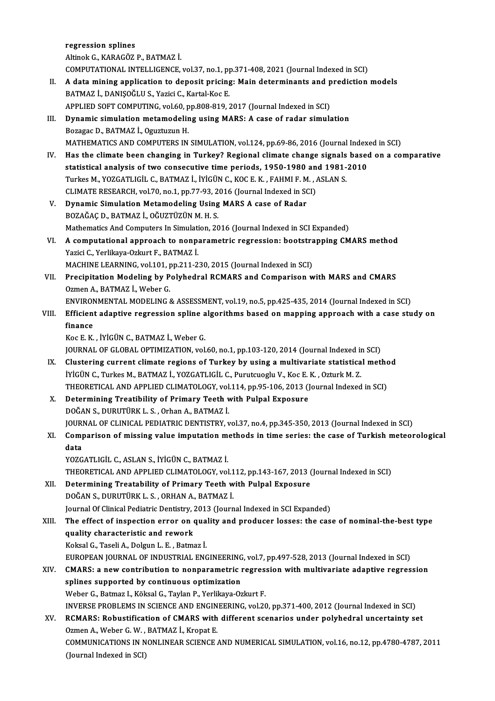regression splines AltinokG.,KARAGÖZ P.,BATMAZ İ. regression splines<br>Altinok G., KARAGÖZ P., BATMAZ İ.<br>COMPUTATIONAL INTELLIGENCE, vol.37, no.1, pp.371-408, 2021 (Journal Indexed in SCI)<br>A data mining application to denosit prising: Main determinants and prodistion. Altinok G., KARAGÖZ P., BATMAZ İ.<br>COMPUTATIONAL INTELLIGENCE, vol.37, no.1, pp.371-408, 2021 (Journal Indexed in SCI)<br>II. A data mining application to deposit pricing: Main determinants and prediction models COMPUTATIONAL INTELLIGENCE, vol.37, no.1, p<sub>1</sub><br>A data mining application to deposit pricing<br>BATMAZ İ., DANIŞOĞLU S., Yazici C., Kartal-Koc E.<br>APPLIED SOET COMPUTING .vol.60, np.909,919, ? A data mining application to deposit pricing: Main determinants and p<br>BATMAZ İ., DANIŞOĞLU S., Yazici C., Kartal-Koc E.<br>APPLIED SOFT COMPUTING, vol.60, pp.808-819, 2017 (Journal Indexed in SCI)<br>Dunamis simulation matamodel BATMAZ İ., DANIŞOĞLU S., Yazici C., Kartal-Koc E.<br>APPLIED SOFT COMPUTING, vol.60, pp.808-819, 2017 (Journal Indexed in SCI)<br>III. Dynamic simulation metamodeling using MARS: A case of radar simulation<br>Boragas D. BATMAZ İ. Q APPLIED SOFT COMPUTING, vol.60, p<br>Dynamic simulation metamodelir<br>Bozagac D., BATMAZ İ., Oguztuzun H.<br>MATUEMATICS AND COMPUTERS IN Bozagac D., BATMAZ İ., Oguztuzun H.<br>MATHEMATICS AND COMPUTERS IN SIMULATION, vol.124, pp.69-86, 2016 (Journal Indexed in SCI) Bozagac D., BATMAZ İ., Oguztuzun H.<br>MATHEMATICS AND COMPUTERS IN SIMULATION, vol.124, pp.69-86, 2016 (Journal Indexed in SCI)<br>IV. Has the climate been changing in Turkey? Regional climate change signals based on a comparat MATHEMATICS AND COMPUTERS IN SIMULATION, vol.124, pp.69-86, 2016 (Journal Index<br>Has the climate been changing in Turkey? Regional climate change signals based<br>statistical analysis of two consecutive time periods, 1950-1980 Has the climate been changing in Turkey? Regional climate change signals<br>statistical analysis of two consecutive time periods, 1950-1980 and 1981-<br>Turkes M., YOZGATLIGİL C., BATMAZ İ., İYİGÜN C., KOC E. K. , FAHMI F. M. , statistical analysis of two consecutive time periods, 1950-1980 and 1981-2010<br>Turkes M., YOZGATLIGIL C., BATMAZ I., IYIGÜN C., KOC E. K., FAHMI F. M., ASLAN S.<br>CLIMATE RESEARCH, vol.70, no.1, pp.77-93, 2016 (Journal Indexe Turkes M., YOZGATLIGİL C., BATMAZ İ., İYİGÜN C., KOC E. K., FAHMI F. M<br>CLIMATE RESEARCH, vol.70, no.1, pp.77-93, 2016 (Journal Indexed in SON<br>V. Dynamic Simulation Metamodeling Using MARS A case of Radar<br>POZAČAC D. BATMAZ CLIMATE RESEARCH, vol.70, no.1, pp.77-93, 2<br>Dynamic Simulation Metamodeling Using<br>BOZAĞAÇ D., BATMAZ İ., OĞUZTÜZÜN M. H. S.<br>Mathematics And Computers In Simulation 20 BOZAĞAÇ D., BATMAZ İ., OĞUZTÜZÜN M. H. S.<br>Mathematics And Computers In Simulation, 2016 (Journal Indexed in SCI Expanded) BOZAĞAÇ D., BATMAZ İ., OĞUZTÜZÜN M. H. S.<br>Mathematics And Computers In Simulation, 2016 (Journal Indexed in SCI Expanded)<br>VI. A computational approach to nonparametric regression: bootstrapping CMARS method<br>Variei C. Varli Mathematics And Computers In Simulati<br>A computational approach to nonp:<br>Yazici C., Yerlikaya-Ozkurt F., BATMAZ İ.<br>MACHINE I FARNINC, vol.101 nn 211-2 A computational approach to nonparametric regression: bootstra<br>Yazici C., Yerlikaya-Ozkurt F., BATMAZ İ.<br>MACHINE LEARNING, vol.101, pp.211-230, 2015 (Journal Indexed in SCI)<br>Presinitation Modeling by Polyhodral PCMAPS and Yazici C., Yerlikaya-Ozkurt F., BATMAZ İ.<br>MACHINE LEARNING, vol.101, pp.211-230, 2015 (Journal Indexed in SCI)<br>VII. Precipitation Modeling by Polyhedral RCMARS and Comparison with MARS and CMARS<br>Orman A. BATMAZ İ. Webe MACHINE LEARNING, vol.101, pp.211-230, 2015 (Journal Indexed in SCI)<br>Precipitation Modeling by Polyhedral RCMARS and Comparison with MARS and CMARS<br>Ozmen A., BATMAZ İ., Weber G.<br>ENVIRONMENTAL MODELING & ASSESSMENT, vol.19, Precipitation Modeling by Polyhedral RCMARS and Comparison with MARS and CMARS<br>Ozmen A., BATMAZ İ., Weber G.<br>ENVIRONMENTAL MODELING & ASSESSMENT, vol.19, no.5, pp.425-435, 2014 (Journal Indexed in SCI)<br>Efficient adentive r Ozmen A., BATMAZ İ., Weber G.<br>ENVIRONMENTAL MODELING & ASSESSMENT, vol.19, no.5, pp.425-435, 2014 (Journal Indexed in SCI)<br>VIII. Efficient adaptive regression spline algorithms based on mapping approach with a case stu ENVIRON<br>Efficient<br>finance<br>Kos E. K Efficient adaptive regression spline a<br>finance<br>Koc E. K. , İYİGÜN C., BATMAZ İ., Weber G.<br>JOUPNAL OF CLOPAL OPTIMIZATION vel finance<br>Koc E. K. , İYİGÜN C., BATMAZ İ., Weber G.<br>JOURNAL OF GLOBAL OPTIMIZATION, vol.60, no.1, pp.103-120, 2014 (Journal Indexed in SCI)<br>Clustering surrent slimate regions of Turkey by using a multiveriate statistical me Koc E. K., İYİGÜN C., BATMAZ İ., Weber G.<br>JOURNAL OF GLOBAL OPTIMIZATION, vol.60, no.1, pp.103-120, 2014 (Journal Indexed in SCI)<br>IX. Clustering current climate regions of Turkey by using a multivariate statistical method<br> JOURNAL OF GLOBAL OPTIMIZATION, vol.60, no.1, pp.103-120, 2014 (Journal Indexed in<br>Clustering current climate regions of Turkey by using a multivariate statistica<br>İYİGÜN C., Turkes M., BATMAZ İ., YOZGATLIGİL C., Purutcuogl Clustering current climate regions of Turkey by using a multivariate statistical methomore in the individual I<br>THEORETICAL AND APPLIED CLIMATOLOGY, vol.114, pp.95-106, 2013 (Journal Indexed in SCI)<br>Determining Treatibility IYIGÜN C., Turkes M., BATMAZ İ., YOZGATLIGİL C., Purutcuoglu V., Koc E.<br>THEORETICAL AND APPLIED CLIMATOLOGY, vol.114, pp.95-106, 2013 (J<br>X. Determining Treatibility of Primary Teeth with Pulpal Exposure<br>DOČAN S. DUBUTÜBKL THEORETICAL AND APPLIED CLIMATOLOGY, vol<br>Determining Treatibility of Primary Teeth v<br>DOĞAN S., DURUTÜRK L. S. , Orhan A., BATMAZ İ.<br>JOUPMAL OF CLINICAL PEDIATRIC DENTISTRY v Determining Treatibility of Primary Teeth with Pulpal Exposure<br>DOĞAN S., DURUTÜRK L. S. , Orhan A., BATMAZ İ.<br>JOURNAL OF CLINICAL PEDIATRIC DENTISTRY, vol.37, no.4, pp.345-350, 2013 (Journal Indexed in SCI)<br>Companison of m DOĞAN S., DURUTÜRK L. S. , Orhan A., BATMAZ İ.<br>JOURNAL OF CLINICAL PEDIATRIC DENTISTRY, vol.37, no.4, pp.345-350, 2013 (Journal Indexed in SCI)<br>XI. Comparison of missing value imputation methods in time series: the cas JOURI<br><mark>Com<sub>l</sub><br>data</mark><br>vozc YOZGATLIGİL C.,ASLANS., İYİGÜNC.,BATMAZ İ. data<br>YOZGATLIGİL C., ASLAN S., İYİGÜN C., BATMAZ İ.<br>THEORETICAL AND APPLIED CLIMATOLOGY, vol.112, pp.143-167, 2013 (Journal Indexed in SCI)<br>Petermining Trestability of Primary Teath with Pulnal Expesure YOZGATLIGIL C., ASLAN S., IYIGÜN C., BATMAZ I.<br>THEORETICAL AND APPLIED CLIMATOLOGY, vol.112, pp.143-167, 2013 (<br>XII. Determining Treatability of Primary Teeth with Pulpal Exposure<br>DOČAN S. DUPUTÜPK L. S. OPHAN A. PATMAZ I. Determining Treatability of Primary Teeth with Pulpal Exposure<br>DOĞAN S., DURUTÜRK L. S., ORHAN A., BATMAZ İ. Journal Of Clinical Pediatric Dentistry, 2013 (Journal Indexed in SCI Expanded) DOĞAN S., DURUTÜRK L. S. , ORHAN A., BATMAZ İ.<br>Journal Of Clinical Pediatric Dentistry, 2013 (Journal Indexed in SCI Expanded)<br>XIII. The effect of inspection error on quality and producer losses: the case of nominal-th quality characteristic and rework<br>Koksal G., Taseli A., Dolgun L. E. , Batmaz İ. The effect of inspection error on qua<br>quality characteristic and rework<br>Koksal G., Taseli A., Dolgun L. E. , Batmaz İ.<br>FUROPEAN JOURNAL OF INDUSTRIAL ENG quality characteristic and rework<br>Koksal G., Taseli A., Dolgun L. E. , Batmaz İ.<br>EUROPEAN JOURNAL OF INDUSTRIAL ENGINEERING, vol.7, pp.497-528, 2013 (Journal Indexed in SCI)<br>CMARS: a new contribution to nonnaremetris regre Koksal G., Taseli A., Dolgun L. E. , Batmaz İ.<br>EUROPEAN JOURNAL OF INDUSTRIAL ENGINEERING, vol.7, pp.497-528, 2013 (Journal Indexed in SCI)<br>XIV. CMARS: a new contribution to nonparametric regression with multivariate a EUROPEAN JOURNAL OF INDUSTRIAL ENGINEERING<br>CMARS: a new contribution to nonparametric is<br>plines supported by continuous optimization<br>Weber C. Betwer L. Kälsel C. Teylan B. Verlikeus Op CMARS: a new contribution to nonparametric regres.<br>splines supported by continuous optimization<br>Weber G., Batmaz I., Köksal G., Taylan P., Yerlikaya-Ozkurt F.<br>INVERSE PROPLEMS IN SCIENCE AND ENCINEERING vol 20 splines supported by continuous optimization<br>Weber G., Batmaz I., Köksal G., Taylan P., Yerlikaya-Ozkurt F.<br>INVERSE PROBLEMS IN SCIENCE AND ENGINEERING, vol.20, pp.371-400, 2012 (Journal Indexed in SCI)<br>RCMARS: Robustifica Weber G., Batmaz I., Köksal G., Taylan P., Yerlikaya-Ozkurt F.<br>INVERSE PROBLEMS IN SCIENCE AND ENGINEERING, vol.20, pp.371-400, 2012 (Journal Indexed in SCI)<br>XV. RCMARS: Robustification of CMARS with different scenarios un INVERSE PROBLEMS IN SCIENCE AND ENGIN<br>**RCMARS: Robustification of CMARS with**<br>Ozmen A., Weber G. W. , BATMAZ İ., Kropat E.<br>COMMUNICATIONS IN NONI INFAR SCIENCE RCMARS: Robustification of CMARS with different scenarios under polyhedral uncertainty set<br>Ozmen A., Weber G. W. , BATMAZ İ., Kropat E.<br>COMMUNICATIONS IN NONLINEAR SCIENCE AND NUMERICAL SIMULATION, vol.16, no.12, pp.4780-4 Ozmen A., Weber G. W. ,<br>COMMUNICATIONS IN N<br>(Journal Indexed in SCI)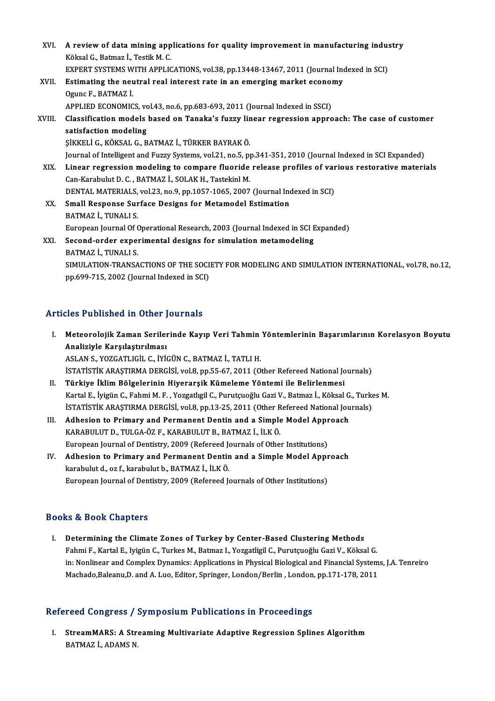| XVI.   | A review of data mining applications for quality improvement in manufacturing industry                     |
|--------|------------------------------------------------------------------------------------------------------------|
|        | Köksal G., Batmaz I., Testik M. C.                                                                         |
|        | EXPERT SYSTEMS WITH APPLICATIONS, vol.38, pp.13448-13467, 2011 (Journal Indexed in SCI)                    |
| XVII.  | Estimating the neutral real interest rate in an emerging market economy                                    |
|        | Ogunc F., BATMAZ İ.                                                                                        |
|        | APPLIED ECONOMICS, vol.43, no.6, pp.683-693, 2011 (Journal Indexed in SSCI)                                |
| XVIII. | Classification models based on Tanaka's fuzzy linear regression approach: The case of customer             |
|        | satisfaction modeling                                                                                      |
|        | ŞİKKELİ G., KÖKSAL G., BATMAZ İ., TÜRKER BAYRAK Ö.                                                         |
|        | Journal of Intelligent and Fuzzy Systems, vol.21, no.5, pp.341-351, 2010 (Journal Indexed in SCI Expanded) |
| XIX.   | Linear regression modeling to compare fluoride release profiles of various restorative materials           |
|        | Can-Karabulut D. C., BATMAZ İ., SOLAK H., Tastekinl M.                                                     |
|        | DENTAL MATERIALS, vol.23, no.9, pp.1057-1065, 2007 (Journal Indexed in SCI)                                |
| XX.    | <b>Small Response Surface Designs for Metamodel Estimation</b>                                             |
|        | BATMAZ İ., TUNALI S.                                                                                       |
|        | European Journal Of Operational Research, 2003 (Journal Indexed in SCI Expanded)                           |
| XXI.   | Second-order experimental designs for simulation metamodeling                                              |
|        | BATMAZ İ., TUNALI S.                                                                                       |
|        | SIMULATION-TRANSACTIONS OF THE SOCIETY FOR MODELING AND SIMULATION INTERNATIONAL, vol78, no.12,            |
|        | nn 600 715, 2002 (Iournal Indoved in SCI)                                                                  |

pp.699-715, 2002 (Journal Indexed in SCI)

## Articles Published in Other Journals

- I. Meteorolojik Zaman Serilerinde Kayıp Veri Tahmin Yöntemlerinin Başarımlarının Korelasyon Boyutu Analiziyle Karşılaştırılması ASLANS.,YOZGATLIGİL C., İYİGÜNC.,BATMAZ İ.,TATLIH. İSTATİSTİKARAŞTIRMADERGİSİ,vol.8,pp.55-67,2011 (OtherRefereedNational Journals)
- II. Türkiye İklim Bölgelerinin Hiyerarşik Kümeleme Yöntemi ile Belirlenmesi İSTATİSTİK ARAŞTIRMA DERGİSİ, vol.8, pp.55-67, 2011 (Other Refereed National Journals)<br>**Türkiye İklim Bölgelerinin Hiyerarşik Kümeleme Yöntemi ile Belirlenmesi**<br>Kartal E., İyigün C., Fahmi M. F. , Yozgatlıgil C., Purutçuoğ Türkiye İklim Bölgelerinin Hiyerarşik Kümeleme Yöntemi ile Belirlenmesi<br>Kartal E., İyigün C., Fahmi M. F. , Yozgatlıgil C., Purutçuoğlu Gazi V., Batmaz İ., Köksal G., Turke<br>İSTATİSTİK ARAŞTIRMA DERGİSİ, vol.8, pp.13-25, 20 Kartal E., İyigün C., Fahmi M. F. , Yozgatlıgil C., Purutçuoğlu Gazi V., Batmaz İ., Köksal G<br>İSTATİSTİK ARAŞTIRMA DERGİSİ, vol.8, pp.13-25, 2011 (Other Refereed National Jou<br>III. Adhesion to Primary and Permanent Dentin an
- ISTATISTIK ARAŞTIRMA DERGISI, vol.8, pp.13-25, 2011 (Other Refereed National Journals)<br>Adhesion to Primary and Permanent Dentin and a Simple Model Approach<br>KARABULUT D., TULGA-ÖZ F., KARABULUT B., BATMAZ İ., İLKÖ.<br>European III. Adhesion to Primary and Permanent Dentin and a Simple Model Approach KARABULUT D., TULGA-ÖZ F., KARABULUT B., BATMAZ İ., İLK Ö.<br>European Journal of Dentistry, 2009 (Refereed Journals of Other Institutions)<br>IV. Adhesion to Primary and Permanent Dentin and a Simple Model Approach<br>Ispahylut d.
- European Journal of Dentistry, 2009 (Refereed Jo<br>Adhesion to Primary and Permanent Dentir<br>karabulut d., oz f., karabulut b., BATMAZ İ., İLKÖ.<br>European Journal of Dentistry, 2009 (Pefereed J Adhesion to Primary and Permanent Dentin and a Simple Model Appr<br>karabulut d., oz f., karabulut b., BATMAZ İ., İLK Ö.<br>European Journal of Dentistry, 2009 (Refereed Journals of Other Institutions) European Journal of Dentistry, 2009 (Refereed Journals of Other Institutions)<br>Books & Book Chapters

I. Determining the Climate Zones of Turkey by Center-Based Clustering Methods ro & Doon anapters<br>Determining the Climate Zones of Turkey by Center-Based Clustering Methods<br>Fahmi F., Kartal E., Iyigün C., Turkes M., Batmaz I., Yozgatligil C., Purutçuoğlu Gazi V., Köksal G.<br>in: Nonlineer and Compley D in: Nonlinear and Complex Dynamics: Applications in Physical Biological and Financial Systems, J.A. Tenreiro<br>Machado,Baleanu,D. and A. Luo, Editor, Springer, London/Berlin , London, pp.171-178, 2011 Fahmi F., Kartal E., Iyigün C., Turkes M., Batmaz I., Yozgatligil C., Purutçuoğlu Gazi V., Köksal G.<br>in: Nonlinear and Complex Dynamics: Applications in Physical Biological and Financial System<br>Machado,Baleanu,D. and A. Lu

### Refereed Congress / Symposium Publications in Proceedings

efereed Congress / Symposium Publications in Proceedings<br>I. StreamMARS: A Streaming Multivariate Adaptive Regression Splines Algorithm<br>RATMAZI, ADAMS N StreamMARS: A Str.<br>BATMAZ İ., ADAMS N.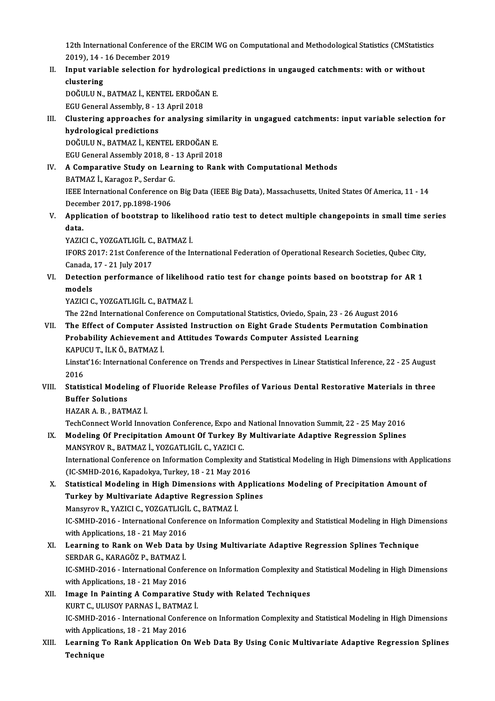12th International Conference of the ERCIM WG on Computational and Methodological Statistics (CMStatistics<br>2010), 14 , 16 Desember 2010 12th International Conference<br>2019), 14 - 16 December 2019<br>Innut veriable selection for 12th International Conference of the ERCIM WG on Computational and Methodological Statistics (CMStatistical 2019), 14 - 16 December 2019<br>II. Input variable selection for hydrological predictions in ungauged catchments: wit

2019), 14 - 16 December 2019<br>II. Input variable selection for hydrological predictions in ungauged catchments: with or without<br>clustering Input variable selection for hydrological<br>clustering<br>DOĞULU N., BATMAZ İ., KENTEL ERDOĞAN E.<br>ECU Ceneral Assembly, 9, 13 April 2019 clustering<br>DOĞULU N., BATMAZ İ., KENTEL ERDOĞA<br>EGU General Assembly, 8 - 13 April 2018<br>Clustering annreaches for analysing

DOĞULU N., BATMAZ İ., KENTEL ERDOĞAN E.<br>EGU General Assembly, 8 - 13 April 2018<br>III. Clustering approaches for analysing similarity in ungagued catchments: input variable selection for<br>hydrological prodictions EGU General Assembly, 8 - 1<br>Clustering approaches fo<br>hydrological predictions<br>DOČIILIJ N. BATMAZ L. KEN Clustering approaches for analysing sim<br>hydrological predictions<br>DOĞULU N., BATMAZ İ., KENTEL ERDOĞAN E.<br>ECU Canaral Assembly 2019-9-12 April 2011

hydrological predictions<br>DOĞULU N., BATMAZ İ., KENTEL ERDOĞAN E.<br>EGU General Assembly 2018, 8 - 13 April 2018

DOĞULU N., BATMAZ İ., KENTEL ERDOĞAN E.<br>EGU General Assembly 2018, 8 - 13 April 2018<br>IV. A Comparative Study on Learning to Rank with Computational Methods<br>PATMAZ İ. Karagaz B. Sardar G. EGU General Assembly 2018, 8 -<br>A Comparative Study on Lear<br>BATMAZ İ., Karagoz P., Serdar G.<br><sup>IEEE</sup> International Conference of

BATMAZ İ., Karagoz P., Serdar G.<br>IEEE International Conference on Big Data (IEEE Big Data), Massachusetts, United States Of America, 11 - 14 BATMAZ İ., Karagoz P., Serdar G<br>IEEE International Conference o<br>December 2017, pp.1898-1906<br>Annligation of bootstran to l IEEE International Conference on Big Data (IEEE Big Data), Massachusetts, United States Of America, 11 - 14<br>December 2017, pp.1898-1906<br>V. Application of bootstrap to likelihood ratio test to detect multiple changepoints i

Decer<br><mark>Appli</mark><br>data.<br>v^zic Application of bootstrap to likelih<br>data.<br>YAZICI C., YOZGATLIGİL C., BATMAZ İ.<br>IEOPS 2017: 21st Conference of the In

YAZICI C., YOZGATLIGİL C., BATMAZ İ.

data.<br>IFORS 2017: 21st Conference of the International Federation of Operational Research Societies, Qubec City,<br>Canada, 17 - 21 July 2017 IFORS 2017: 21st Conference of the International Federation of Operational Research Societies, Qubec City,<br>Canada, 17 - 21 July 2017<br>VI. Detection performance of likelihood ratio test for change points based on bootstrap f

Canada,<br>Detectio<br>models<br><sup>VA7ICLC</sup> Detection performance of likeliho<br>models<br>YAZICI C., YOZGATLIGİL C., BATMAZ İ.<br>The 22nd International Conference en models<br>YAZICI C., YOZGATLIGİL C., BATMAZ İ.<br>The 22nd International Conference on Computational Statistics, Oviedo, Spain, 23 - 26 August 2016<br>The Effect of Computer, Assisted Instruction on Eight Crade Students Permutation

YAZICI C., YOZGATLIGİL C., BATMAZ İ.<br>The 22nd International Conference on Computational Statistics, Oviedo, Spain, 23 - 26 August 2016<br>VII. The Effect of Computer Assisted Instruction on Eight Grade Students Permutatio The 22nd International Conference on Computational Statistics, Oviedo, Spain, 23 - 26 A<br>The Effect of Computer Assisted Instruction on Eight Grade Students Permuta<br>Probability Achievement and Attitudes Towards Computer Ass The Effect of Computer As<br>Probability Achievement a<br>KAPUCU T., İLK Ö., BATMAZ İ.<br>Linstat'16. International Conf Probability Achievement and Attitudes Towards Computer Assisted Learning<br>KAPUCU T., İLK Ö., BATMAZ İ.<br>Linstat'16: International Conference on Trends and Perspectives in Linear Statistical Inference, 22 - 25 August<br>2016

KAPU<br>Linsta<br>2016<br>Statis Linstat'16: International Conference on Trends and Perspectives in Linear Statistical Inference, 22 - 25 August<br>2016<br>VIII. Statistical Modeling of Fluoride Release Profiles of Various Dental Restorative Materials in three<br>

## 2016<br>Statistical Modeli<br>Buffer Solutions<br>HAZAR A B. BATN Statistical Modeling of<br>Buffer Solutions<br>HAZAR A. B. , BATMAZ İ.<br>TechConnect World Inne Buffer Solutions<br>HAZAR A. B. , BATMAZ İ.<br>TechConnect World Innovation Conference, Expo and National Innovation Summit, 22 - 25 May 2016

## HAZAR A. B. , BATMAZ İ.<br>TechConnect World Innovation Conference, Expo and National Innovation Summit, 22 - 25 May 2016<br>IX. Modeling Of Precipitation Amount Of Turkey By Multivariate Adaptive Regression Splines<br>MANSVROV B. TechConnect World Innovation Conference, Expo and<br>Modeling Of Precipitation Amount Of Turkey By<br>MANSYROV R., BATMAZ İ., YOZGATLIGİL C., YAZICI C.<br>International Conference en Information Complexity. Modeling Of Precipitation Amount Of Turkey By Multivariate Adaptive Regression Splines<br>MANSYROV R., BATMAZ İ., YOZGATLIGİL C., YAZICI C.<br>International Conference on Information Complexity and Statistical Modeling in High D MANSYROV R., BATMAZ İ., YOZGATLIGİL C., YAZICI C.<br>International Conference on Information Complexity an<br>(IC-SMHD-2016, Kapadokya, Turkey, 18 - 21 May 2016<br>Statistical Modeling in High Dimensions with Ann

International Conference on Information Complexity and Statistical Modeling in High Dimensions with Application<br>(IC-SMHD-2016, Kapadokya, Turkey, 18 - 21 May 2016)<br>X. Statistical Modeling in High Dimensions with Applicatio

(IC-SMHD-2016, Kapadokya, Turkey, 18 - 21 May 2016<br>Statistical Modeling in High Dimensions with Applica<br>Turkey by Multivariate Adaptive Regression Splines<br>Mansurov B, VAZICLG, VOZGATUGU G, BATMAZ İ Statistical Modeling in High Dimensions with .<br>Turkey by Multivariate Adaptive Regression S<br>Mansyrov R., YAZICI C., YOZGATLIGİL C., BATMAZ İ.<br>IC SMUD 2016 - International Conference en Inform

Mansyrov R., YAZICI C., YOZGATLIGİL C., BATMAZ İ.<br>IC-SMHD-2016 - International Conference on Information Complexity and Statistical Modeling in High Dimensions Mansyrov R., YAZICI C., YOZGATLIGİI<br>IC-SMHD-2016 - International Confer<br>with Applications, 18 - 21 May 2016<br>Learning to Bank on Woh Data b

- XI. Learning to Rank on Web Data by Using Multivariate Adaptive Regression Splines Technique SERDAR G., KARAGÖZ P., BATMAZ İ. with Applications, 18 - 21 May 2016<br>Learning to Rank on Web Data I<br>SERDAR G., KARAGÖZ P., BATMAZ İ. Learning to Rank on Web Data by Using Multivariate Adaptive Regression Splines Technique<br>SERDAR G., KARAGÖZ P., BATMAZ İ.<br>IC-SMHD-2016 - International Conference on Information Complexity and Statistical Modeling in High D SERDAR G., KARAGÖZ P., BATMAZ İ.<br>IC-SMHD-2016 - International Confer<br>with Applications, 18 - 21 May 2016<br>Imaga In Bainting A Componative IC-SMHD-2016 - International Conference on Information Complexity and<br>with Applications, 18 - 21 May 2016<br>XII. Image In Painting A Comparative Study with Related Techniques<br>EURT GULUSON BARNAS LEATMAZ I
- with Applications, 18 21 May 2016<br>Image In Painting A Comparative St<br>KURT C., ULUSOY PARNAS İ., BATMAZ İ. Image In Painting A Comparative Study with Related Techniques<br>KURT C., ULUSOY PARNAS İ., BATMAZ İ.<br>IC-SMHD-2016 - International Conference on Information Complexity and Statistical Modeling in High Dimensions<br>vith Annligat KURT C., ULUSOY PARNAS İ., BATMA;<br>IC-SMHD-2016 - International Confer<br>with Applications, 18 - 21 May 2016<br>Learning Te Bank Application Or IC-SMHD-2016 - International Conference on Information Complexity and Statistical Modeling in High Dimensions<br>with Applications, 18 - 21 May 2016<br>XIII. Learning To Rank Application On Web Data By Using Conic Multivariate A
- with Applic:<br><mark>Learning</mark><br>Technique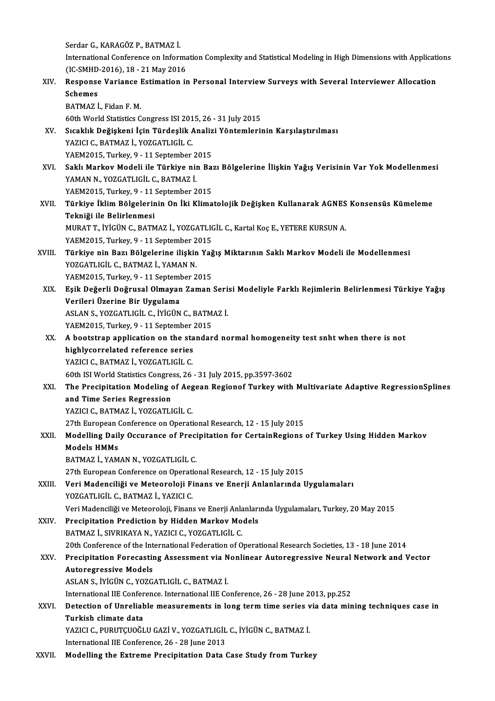SerdarG.,KARAGÖZ P.,BATMAZ İ. Serdar G., KARAGÖZ P., BATMAZ İ.<br>International Conference on Information Complexity and Statistical Modeling in High Dimensions with Applications<br>(IC SMUD 2016), 18, 21 May 2016 Serdar G., KARAGÖZ P., BATMAZ İ.<br>International Conference on Informa<br>(IC-SMHD-2016), 18 - 21 May 2016<br>Response Varianes Estimation in International Conference on Information Complexity and Statistical Modeling in High Dimensions with Application<br>(IC-SMHD-2016), 18 - 21 May 2016<br>XIV. Response Variance Estimation in Personal Interview Surveys with Several

(IC-SMHD)<br>Response<br>Schemes<br>RATMAZ i Response Variance I<br>Schemes<br>BATMAZ İ., Fidan F. M.<br>60th World Statistics C Schemes<br>BATMAZ İ., Fidan F. M.<br>60th World Statistics Congress ISI 2015, 26 - 31 July 2015<br>Staaklık Değiskeni İsin Türdeslik Analizi Vöntemleril BATMAZ İ., Fidan F. M.<br>60th World Statistics Congress ISI 2015, 26 - 31 July 2015<br>XV. Sıcaklık Değişkeni İçin Türdeşlik Analizi Yöntemlerinin Karşılaştırılması<br>YAZICI C., BATMAZ İ., YOZGATLIGİL C. 60th World Statistics Congress ISI 201<br>Sıcaklık Değişkeni İçin Türdeşlik *İ*<br>YAZICI C., BATMAZ İ., YOZGATLIGİL C.<br>YAEM2015 Turkey 9 - 11 Sentember Sıcaklık Değişkeni İçin Türdeşlik Analiz<br>YAZICI C., BATMAZ İ., YOZGATLIGİL C.<br>YAEM2015, Turkey, 9 - 11 September 2015<br>Saklı Markey Modeli ile Türkiye nin Baı YAZICI C., BATMAZ İ., YOZGATLIGİL C.<br>YAEM2015, Turkey, 9 - 11 September 2015<br>XVI. Saklı Markov Modeli ile Türkiye nin Bazı Bölgelerine İlişkin Yağış Verisinin Var Yok Modellenmesi<br>XAMAN N. YOZGATLICİL G. BATMAZ İ YAEM2015, Turkey, 9 - 11 September 2<br>Saklı Markov Modeli ile Türkiye niı<br>YAMAN N., YOZGATLIGİL C., BATMAZ İ.<br>YAEM2015, Turkey 9 - 11 September 2 Saklı Markov Modeli ile Türkiye nin Ba:<br>YAMAN N., YOZGATLIGİL C., BATMAZ İ.<br>YAEM2015, Turkey, 9 - 11 September 2015<br>Türkiye İklim Bölgelerinin On İki Klime YAMAN N., YOZGATLIGİL C., BATMAZ İ.<br>YAEM2015, Turkey, 9 - 11 September 2015<br>XVII. Türkiye İklim Bölgelerinin On İki Klimatolojik Değişken Kullanarak AGNES Konsensüs Kümeleme<br>Tekniği ile Belirlenmesi YAEM2015, Turkey, 9 - 11 :<br><mark>Türkiye İklim Bölgelerin</mark><br>Tekniği ile Belirlenmesi<br>MUBAT T. İVİÇİN G. BATM Türkiye İklim Bölgelerinin On İki Klimatolojik Değişken Kullanarak AGNES<br>Tekniği ile Belirlenmesi<br>MURAT T., İYİGÜN C., BATMAZ İ., YOZGATLIGİL C., Kartal Koç E., YETERE KURSUN A.<br>YAEM2015, Turkey 9, ...11 Sentember 2015 Tekniği ile Belirlenmesi<br>MURAT T., İYİGÜN C., BATMAZ İ., YOZGATLIC<br>YAEM2015, Turkey, 9 - 11 September 2015<br>Türkiye nin Beru Bölgelerine ilişkin Yeğ MURAT T., İYİGÜN C., BATMAZ İ., YOZGATLIGİL C., Kartal Koç E., YETERE KURSUN A.<br>YAEM2015, Turkey, 9 - 11 September 2015<br>XVIII. Türkiye nin Bazı Bölgelerine ilişkin Yağış Miktarının Saklı Markov Modeli ile Modellenmesi<br> YAEM2015, Turkey, 9 - 11 September 2<br>Türkiye nin Bazı Bölgelerine ilişkin<br>YOZGATLIGİL C., BATMAZ İ., YAMAN N.<br>YAEM2015, Turkey 0 - 11 September 2 Türkiye nin Bazı Bölgelerine ilişkin Yağ<br>YOZGATLIGİL C., BATMAZ İ., YAMAN N.<br>YAEM2015, Turkey, 9 - 11 September 2015<br>Fsik Dežerli Değrusel Olmayan Zaman YOZGATLIGİL C., BATMAZ İ., YAMAN N.<br>YAEM2015, Turkey, 9 - 11 September 2015<br>XIX. Eşik Değerli Doğrusal Olmayan Zaman Serisi Modeliyle Farklı Rejimlerin Belirlenmesi Türkiye Yağış<br>Verileri Üzerine Bir Hygulama YAEM2015, Turkey, 9 - 11 September 2015<br>Eşik Değerli Doğrusal Olmayan Zaman<br>Verileri Üzerine Bir Uygulama Eşik Değerli Doğrusal Olmayan Zaman Seri:<br>Verileri Üzerine Bir Uygulama<br>ASLAN S., YOZGATLIGİL C., İYİGÜN C., BATMAZ İ.<br>VAEM2015. Turkey 9. -11 Sentember 2015 ASLAN S., YOZGATLIGİL C., İYİGÜN C., BATMAZ İ. ASLAN S., YOZGATLIGIL C., IYIGÜN C., BATMAZ İ.<br>YAEM2015, Turkey, 9 - 11 September 2015<br>XX. A bootstrap application on the standard normal homogeneity test snht when there is not<br>highlycorrelated reference series. YAEM2015, Turkey, 9 - 11 September 2015<br>A bootstrap application on the standar<br>highlycorrelated reference series<br>YAZICI C.. BATMAZ İ.. YOZGATLIGİL C. A bootstrap application on the sta<br>highlycorrelated reference series<br>YAZICI C., BATMAZ İ., YOZGATLIGİL C.<br>60th ISLWorld Statistics Congress, 26 60th ISIWorld StatisticsCongress,26 -31 July2015,pp.3597-3602 YAZICI C., BATMAZ İ., YOZGATLIGİL C.<br>60th ISI World Statistics Congress, 26 - 31 July 2015, pp.3597-3602<br>XXI. The Precipitation Modeling of Aegean Regionof Turkey with Multivariate Adaptive RegressionSplines<br>2nd Time S 60th ISI World Statistics Congre<br>The Precipitation Modeling<br>and Time Series Regression<br>YAZICLC BATMAZ L YOZCATLL The Precipitation Modeling of Aeg<br>and Time Series Regression<br>YAZICI C., BATMAZ İ., YOZGATLIGİL C.<br>27th European Conference en Operati and Time Series Regression<br>1997 - YAZICI C., BATMAZ İ., YOZGATLIGİL C.<br>1997 - European Conference on Operational Research, 12 - 15 July 2015 YAZICI C., BATMAZ İ., YOZGATLIGİL C.<br>27th European Conference on Operational Research, 12 - 15 July 2015<br>XXII. Modelling Daily Occurance of Precipitation for CertainRegions of Turkey Using Hidden Markov<br>Models HMMs 27th European (<br>Modelling Dail<br>Models HMMs<br>RATMAZİ YAM Models HMMs<br>BATMAZ İ., YAMAN N., YOZGATLIGİL C. 27th European Conference on Operational Research, 12 - 15 July 2015 XXIII. Veri Madenciliği ve Meteoroloji Finans ve Enerji Anlanlarında Uygulamaları YOZGATLIGİL C., BATMAZ İ., YAZICI C. Veri Madenciliği ve Meteoroloji, Finans ve Enerji Anlanlarında Uygulamaları, Turkey, 20 May 2015 XXIV. Precipitation Prediction by Hidden Markov Models BATMAZ İ., SIVRIKAYA N., YAZICI C., YOZGATLIGİL C. 20th Conference of the International Federation of Operational Research Societies, 13 - 18 June 2014 BATMAZ İ., SIVRIKAYA N., YAZICI C., YOZGATLIGİL C.<br>20th Conference of the International Federation of Operational Research Societies, 13 - 18 June 2014<br>XXV. Precipitation Forecasting Assessment via Nonlinear Autoregres 20th Conference of the Int<br>Precipitation Forecastii<br>Autoregressive Models<br>ASLAN S. IVICUN C. VOZC Precipitation Forecasting Assessment via N<br>Autoregressive Models<br>ASLAN S., İYİGÜN C., YOZGATLIGİL C., BATMAZ İ.<br>International IIE Conference International IIE Co Autoregressive Models<br>ASLAN S., İYİGÜN C., YOZGATLIGİL C., BATMAZ İ.<br>International IIE Conference. International IIE Conference, 26 - 28 June 2013, pp.252<br>Petestion of Unreliable measurements in lens term time series via d ASLAN S., İYİGÜN C., YOZGATLIGİL C., BATMAZ İ.<br>International IIE Conference. International IIE Conference, 26 - 28 June 2013, pp.252<br>XXVI. Detection of Unreliable measurements in long term time series via data mining t International IIE Confer<br>Detection of Unrelial<br>Turkish climate data<br>YAZICLC BUBUTCUOČI Detection of Unreliable measurements in long term time series v<br>Turkish climate data<br>YAZICI C., PURUTÇUOĞLU GAZİ V., YOZGATLIGİL C., İYİGÜN C., BATMAZ İ.<br>International IIE Conference 26, 28 June 2012 Turkish climate data<br>YAZICI C., PURUTÇUOĞLU GAZİ V., YOZGATLIGİL C., İYİGÜN C., BATMAZ İ.<br>International IIE Conference, 26 - 28 June 2013 XXVII. Modelling the Extreme Precipitation Data Case Study from Turkey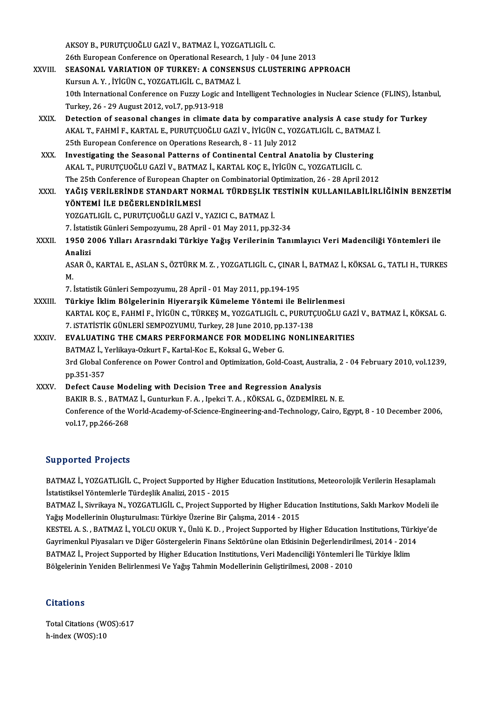AKSOYB.,PURUTÇUOĞLUGAZİV.,BATMAZ İ.,YOZGATLIGİL C. 26th European Conference on Operational Research, 1 July - 04 June 2013 AKSOY B., PURUTÇUOĞLU GAZİ V., BATMAZ İ., YOZGATLIGİL C.<br>26th European Conference on Operational Research, 1 July - 04 June 2013<br>XXVIII. SEASONAL VARIATION OF TURKEY: A CONSENSUS CLUSTERING APPROACH 26th European Conference on Operational Research<br>SEASONAL VARIATION OF TURKEY: A CONSEN<br>Kursun A.Y., İYİGÜN C., YOZGATLIGİL C., BATMAZ İ.<br>10th International Conference on Eurru Legis and Ir SEASONAL VARIATION OF TURKEY: A CONSENSUS CLUSTERING APPROACH<br>Kursun A. Y. , İYİGÜN C., YOZGATLIGİL C., BATMAZ İ.<br>10th International Conference on Fuzzy Logic and Intelligent Technologies in Nuclear Science (FLINS), İstanb Kursun A. Y. , İYİGÜN C., YOZGATLIGİL C., BATM.<br>10th International Conference on Fuzzy Logic a<br>Turkey, 26 - 29 August 2012, vol.7, pp.913-918<br>Detection of seesenal shanges in slimate d 10th International Conference on Fuzzy Logic and Intelligent Technologies in Nuclear Science (FLINS), İstan<br>Turkey, 26 - 29 August 2012, vol.7, pp.913-918<br>XXIX. Detection of seasonal changes in climate data by comparative Turkey, 26 - 29 August 2012, vol.7, pp.913-918<br>Detection of seasonal changes in climate data by comparative analysis A case study<br>AKAL T., FAHMİ F., KARTAL E., PURUTÇUOĞLU GAZİ V., İYİGÜN C., YOZGATLIGİL C., BATMAZ İ.<br>25th Detection of seasonal changes in climate data by comparative<br>AKAL T., FAHMİ F., KARTAL E., PURUTÇUOĞLU GAZİ V., İYİGÜN C., YOZ<br>25th European Conference on Operations Research, 8 - 11 July 2012<br>Investigating the Seasonal Pa AKAL T., FAHMİ F., KARTAL E., PURUTÇUOĞLU GAZİ V., İYİGÜN C., YOZGATLIGİL C., BATMAZ<br>25th European Conference on Operations Research, 8 - 11 July 2012<br>XXX. Investigating the Seasonal Patterns of Continental Central Anatoli 25th European Conference on Operations Research, 8 - 11 July 2012<br>Investigating the Seasonal Patterns of Continental Central Anatolia by Cluster:<br>AKAL T., PURUTÇUOĞLU GAZİ V., BATMAZ İ., KARTAL KOÇ E., İYİGÜN C., YOZGATLIG Investigating the Seasonal Patterns of Continental Central Anatolia by Clustering<br>AKAL T., PURUTÇUOĞLU GAZİ V., BATMAZ İ., KARTAL KOÇ E., İYİGÜN C., YOZGATLIGİL C.<br>The 25th Conference of European Chapter on Combinatorial O AKAL T., PURUTÇUOĞLU GAZİ V., BATMAZ İ., KARTAL KOÇ E., İYİGÜN C., YOZGATLIGİL C.<br>The 25th Conference of European Chapter on Combinatorial Optimization, 26 - 28 April 2012<br>XXXI. YAĞIŞ VERİLERİNDE STANDART NORMAL TÜRDEŞ The 25th Conference of European Chapt<br>YAĞIŞ VERİLERİNDE STANDART NO<br>YÖNTEMİ İLE DEĞERLENDİRİLMESİ<br>YOZCATLICİL C-PUBUTCUQĞLU CAZİ V YAĞIŞ VERİLERİNDE STANDART NORMAL TÜRDEŞLİK 1<br>YÖNTEMİ İLE DEĞERLENDİRİLMESİ<br>YOZGATLIGİL C., PURUTÇUOĞLU GAZİ V., YAZICI C., BATMAZ İ.<br>7. İstatistik Cünleri Semnegrumu, 28 Anril, 01 Mev 2011, np.2. YÖNTEMİ İLE DEĞERLENDİRİLMESİ<br>YOZGATLIGİL C., PURUTÇUOĞLU GAZİ V., YAZICI C., BATMAZ İ.<br>7. İstatistik Günleri Sempozyumu, 28 April - 01 May 2011, pp.32-34<br>1950-2006 Yılları, Arasındaki Türkiye Yağıs Verilerinin Tenl YOZGATLIGİL C., PURUTÇUOĞLU GAZİ V., YAZICI C., BATMAZ İ.<br>7. İstatistik Günleri Sempozyumu, 28 April - 01 May 2011, pp.32-34<br>XXXII. 1950 2006 Yılları Arasrndaki Türkiye Yağış Verilerinin Tanımlayıcı Veri Madenciliği Yö 7. İstatis<br>1950 2<br>Analizi 1950 2006 Yılları Arasrndaki Türkiye Yağış Verilerinin Tanımlayıcı Veri Madenciliği Yöntemleri ile<br>Analizi<br>ASAR Ö., KARTAL E., ASLAN S., ÖZTÜRK M. Z. , YOZGATLIGİL C., ÇINAR İ., BATMAZ İ., KÖKSAL G., TATLI H., TURKES<br>M An<br>AS<br>M. ASAR Ö., KARTAL E., ASLAN S., ÖZTÜRK M. Z. , YOZGATLIGİL C., ÇINAR<br>M.<br>7. İstatistik Günleri Sempozyumu, 28 April - 01 May 2011, pp.194-195<br>Türkiye İklim Bölgelerinin Hiyerarsik Kümeleme Yöntemi ile B M.<br>7. İstatistik Günleri Sempozyumu, 28 April - 01 May 2011, pp.194-195<br>XXXIII. Türkiye İklim Bölgelerinin Hiyerarşik Kümeleme Yöntemi ile Belirlenmesi 7. İstatistik Günleri Sempozyumu, 28 April - 01 May 2011, pp.194-195<br><mark>Türkiye İklim Bölgelerinin Hiyerarşik Kümeleme Yöntemi ile Belirlenmesi</mark><br>KARTAL KOÇ E., FAHMİ F., İYİGÜN C., TÜRKEŞ M., YOZGATLIGİL C., PURUTÇUOĞLU GAZİ Türkiye İklim Bölgelerinin Hiyerarşik Kümeleme Yöntemi ile Belir<br>KARTAL KOÇ E., FAHMİ F., İYİGÜN C., TÜRKEŞ M., YOZGATLIGİL C., PURUTÇ<br>7. iSTATİSTİK GÜNLERİ SEMPOZYUMU, Turkey, 28 June 2010, pp.137-138<br>EVALUATING THE CMARS KARTAL KOÇ E., FAHMİ F., İYİGÜN C., TÜRKEŞ M., YOZGATLIGİL C., PURUTÇUOĞLU GAZ<br>7. ISTATİSTİK GÜNLERİ SEMPOZYUMU, Turkey, 28 June 2010, pp.137-138<br>XXXIV. EVALUATING THE CMARS PERFORMANCE FOR MODELING NONLINEARITIES 7. ISTATISTIK GÜNLERI SEMPOZYUMU, Turkey, 28 June 2010, pp.137-138<br>EVALUATING THE CMARS PERFORMANCE FOR MODELING NONLINEARITIES 3rd Global Conference on Power Control and Optimization, Gold-Coast, Australia, 2 - 04 February 2010, vol.1239, pp.351-357 BATMAZ İ., Yerlikaya-Ozkurt F., Kartal-Koc E., Koksal G., Weber G. XXXV. Defect Cause Modeling with Decision Tree and Regression Analysis BAKIR B. S., BATMAZ İ., Gunturkun F. A., Ipekci T. A., KÖKSAL G., ÖZDEMİREL N. E. Conference of the World-Academy-of-Science-Engineering-and-Technology, Cairo, Egypt, 8 - 10 December 2006, vol.17,pp.266-268

## Supported Projects

Supported Projects<br>BATMAZ İ., YOZGATLIGİL C., Project Supported by Higher Education Institutions, Meteorolojik Verilerin Hesaplamalı<br>İstatistikçel Yöntemlerle Türdeclik Analizi, 2015 - 2015 BATMAZ İ., YOZGATLIGİL C., Project Supported by High<br>İstatistiksel Yöntemlerle Türdeşlik Analizi, 2015 - 2015<br>PATMAZ İ. Siyrilova N. YOZGATLIGİL G. Project Suppo BATMAZ İ., YOZGATLIGİL C., Project Supported by Higher Education Institutions, Meteorolojik Verilerin Hesaplamalı<br>İstatistiksel Yöntemlerle Türdeşlik Analizi, 2015 - 2015<br>BATMAZ İ., Sivrikaya N., YOZGATLIGİL C., Project Su

İstatistiksel Yöntemlerle Türdeşlik Analizi, 2015 - 2015<br>BATMAZ İ., Sivrikaya N., YOZGATLIGİL C., Project Supported by Higher Educa<br>Yağış Modellerinin Oluşturulması: Türkiye Üzerine Bir Çalışma, 2014 - 2015<br>KESTEL A.S., PA BATMAZ İ., Sivrikaya N., YOZGATLIGİL C., Project Supported by Higher Education Institutions, Saklı Markov Modeli ile<br>Yağış Modellerinin Oluşturulması: Türkiye Üzerine Bir Çalışma, 2014 - 2015<br>KESTEL A. S. , BATMAZ İ., YOLC

Yağış Modellerinin Oluşturulması: Türkiye Üzerine Bir Çalışma, 2014 - 2015<br>KESTEL A. S. , BATMAZ İ., YOLCU OKUR Y., Ünlü K. D. , Project Supported by Higher Education Institutions, Türki<br>Gayrimenkul Piyasaları ve Diğer Gös KESTEL A. S. , BATMAZ İ., YOLCU OKUR Y., Ünlü K. D. , Project Supported by Higher Education Institutions, Türl<br>Gayrimenkul Piyasaları ve Diğer Göstergelerin Finans Sektörüne olan Etkisinin Değerlendirilmesi, 2014 - 2014<br>BA Gayrimenkul Piyasaları ve Diğer Göstergelerin Finans Sektörüne olan Etkisinin Değerlendirilmesi, 2014 - 2014<br>BATMAZ İ., Project Supported by Higher Education Institutions, Veri Madenciliği Yöntemleri İle Türkiye İklim<br>Bölg

### **Citations**

Citations<br>Total Citations (WOS):617<br>h index (WOS):10 h-index (WOS):10